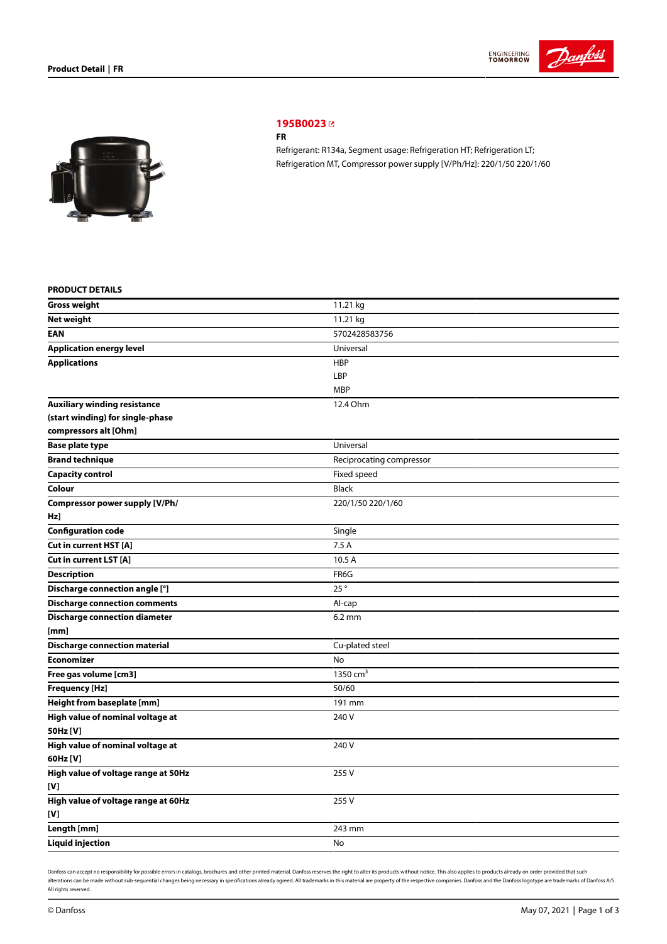



# **[195B0023](https://store.danfoss.com/sg/en/Climate-Solutions-for-cooling/Compressors/Compressors-for-Refrigeration/Danfoss-Light-Commercial-Refrigeration-Compressors/FR/p/195B0023)**

### **FR**

Refrigerant: R134a, Segment usage: Refrigeration HT; Refrigeration LT; Refrigeration MT, Compressor power supply [V/Ph/Hz]: 220/1/50 220/1/60

### **PRODUCT DETAILS**

| <b>Gross weight</b>                  | 11.21 kg                 |
|--------------------------------------|--------------------------|
| <b>Net weight</b>                    | 11.21 kg                 |
| <b>EAN</b>                           | 5702428583756            |
| <b>Application energy level</b>      | Universal                |
| <b>Applications</b>                  | <b>HBP</b>               |
|                                      | LBP                      |
|                                      | <b>MBP</b>               |
| <b>Auxiliary winding resistance</b>  | 12.4 Ohm                 |
| (start winding) for single-phase     |                          |
| compressors alt [Ohm]                |                          |
| <b>Base plate type</b>               | Universal                |
| <b>Brand technique</b>               | Reciprocating compressor |
| <b>Capacity control</b>              | Fixed speed              |
| Colour                               | <b>Black</b>             |
| Compressor power supply [V/Ph/       | 220/1/50 220/1/60        |
| Hz]                                  |                          |
| <b>Configuration code</b>            | Single                   |
| Cut in current HST [A]               | 7.5A                     |
| Cut in current LST [A]               | 10.5 A                   |
| <b>Description</b>                   | FR6G                     |
| Discharge connection angle [°]       | 25°                      |
| <b>Discharge connection comments</b> | Al-cap                   |
| <b>Discharge connection diameter</b> | $6.2 \text{ mm}$         |
| [mm]                                 |                          |
| <b>Discharge connection material</b> | Cu-plated steel          |
| <b>Economizer</b>                    | No                       |
| Free gas volume [cm3]                | 1350 $cm3$               |
| <b>Frequency [Hz]</b>                | 50/60                    |
| Height from baseplate [mm]           | 191 mm                   |
| High value of nominal voltage at     | 240 V                    |
| 50Hz [V]                             |                          |
| High value of nominal voltage at     | 240 V                    |
| 60Hz [V]                             |                          |
| High value of voltage range at 50Hz  | 255V                     |
| [V]                                  |                          |
| High value of voltage range at 60Hz  | 255 V                    |
| [V]                                  |                          |
| Length [mm]                          | 243 mm                   |
| <b>Liquid injection</b>              | No                       |

Danfoss can accept no responsibility for possible errors in catalogs, brochures and other printed material. Danfoss reserves the right to alter its products without notice. This also applies to products already on order pr alterations can be made without sub-sequential changes being necessary in specifications already agreed. All trademarks in this material are property of the respective companies. Danfoss and the Danfoss logotype are tradem All rights reserved.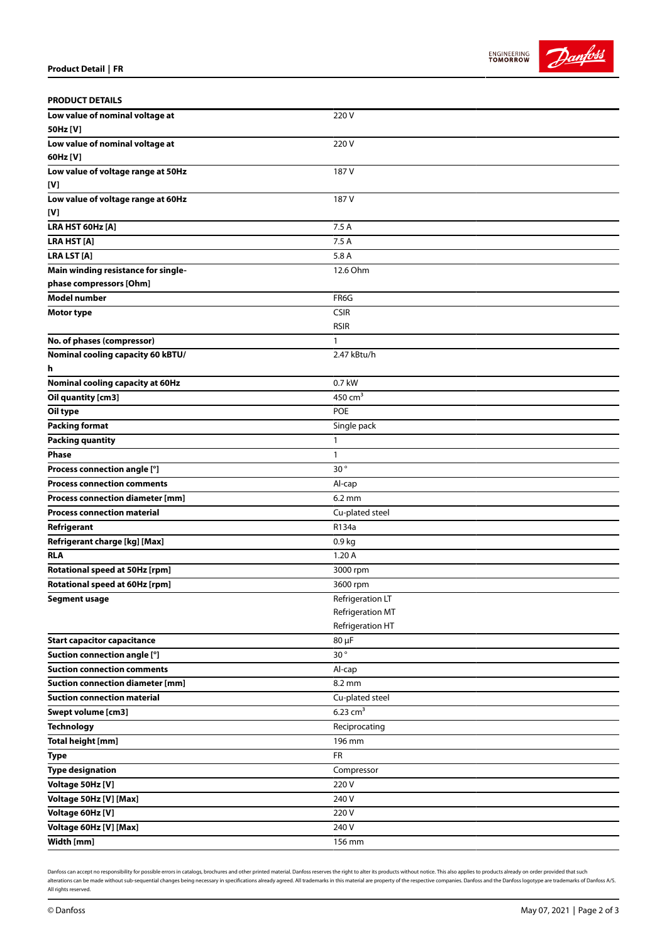



| <b>PRODUCT DETAILS</b>                  |                        |
|-----------------------------------------|------------------------|
| Low value of nominal voltage at         | 220V                   |
| 50Hz [V]                                |                        |
| Low value of nominal voltage at         | 220V                   |
| 60Hz [V]                                |                        |
| Low value of voltage range at 50Hz      | 187 V                  |
| [V]                                     |                        |
| Low value of voltage range at 60Hz      | 187 V                  |
| [V]                                     |                        |
| LRA HST 60Hz [A]                        | 7.5 A                  |
| LRA HST [A]                             | 7.5 A                  |
| <b>LRA LST [A]</b>                      | 5.8 A                  |
| Main winding resistance for single-     | 12.6 Ohm               |
| phase compressors [Ohm]                 |                        |
| <b>Model number</b>                     | FR6G                   |
| <b>Motor type</b>                       | <b>CSIR</b>            |
|                                         | <b>RSIR</b>            |
| No. of phases (compressor)              | $\mathbf{1}$           |
| Nominal cooling capacity 60 kBTU/       | 2.47 kBtu/h            |
| h                                       |                        |
| Nominal cooling capacity at 60Hz        | 0.7 kW                 |
| Oil quantity [cm3]                      | 450 $cm3$              |
| Oil type                                | <b>POE</b>             |
| <b>Packing format</b>                   | Single pack            |
| <b>Packing quantity</b>                 | 1                      |
| <b>Phase</b>                            | $\mathbf{1}$           |
| Process connection angle [°]            | 30 $^{\circ}$          |
| <b>Process connection comments</b>      | Al-cap                 |
| Process connection diameter [mm]        | $6.2 \text{ mm}$       |
| <b>Process connection material</b>      | Cu-plated steel        |
| Refrigerant                             | R134a                  |
| Refrigerant charge [kg] [Max]           | 0.9 <sub>kg</sub>      |
| <b>RLA</b>                              | 1.20A                  |
| Rotational speed at 50Hz [rpm]          | 3000 rpm               |
| Rotational speed at 60Hz [rpm]          | 3600 rpm               |
| <b>Segment usage</b>                    | Refrigeration LT       |
|                                         | Refrigeration MT       |
|                                         | Refrigeration HT       |
| <b>Start capacitor capacitance</b>      | 80 µF                  |
| Suction connection angle [°]            | 30°                    |
| <b>Suction connection comments</b>      | Al-cap                 |
| <b>Suction connection diameter [mm]</b> | 8.2 mm                 |
| <b>Suction connection material</b>      | Cu-plated steel        |
| Swept volume [cm3]                      | $6.23$ cm <sup>3</sup> |
| <b>Technology</b>                       | Reciprocating          |
| <b>Total height [mm]</b>                | 196 mm                 |
| <b>Type</b>                             | <b>FR</b>              |
| <b>Type designation</b>                 | Compressor             |
| Voltage 50Hz [V]                        | 220V                   |
| Voltage 50Hz [V] [Max]                  | 240 V                  |
| Voltage 60Hz [V]                        | 220 V                  |
| Voltage 60Hz [V] [Max]                  | 240 V                  |
| Width [mm]                              | 156 mm                 |

Danfoss can accept no responsibility for possible errors in catalogs, brochures and other printed material. Danfoss reserves the right to alter its products without notice. This also applies to products already on order pr alterations can be made without sub-sequential changes being necessary in specifications already agreed. All trademarks in this material are property of the respective companies. Danfoss and the Danfoss logotype are tradem All rights reserved.